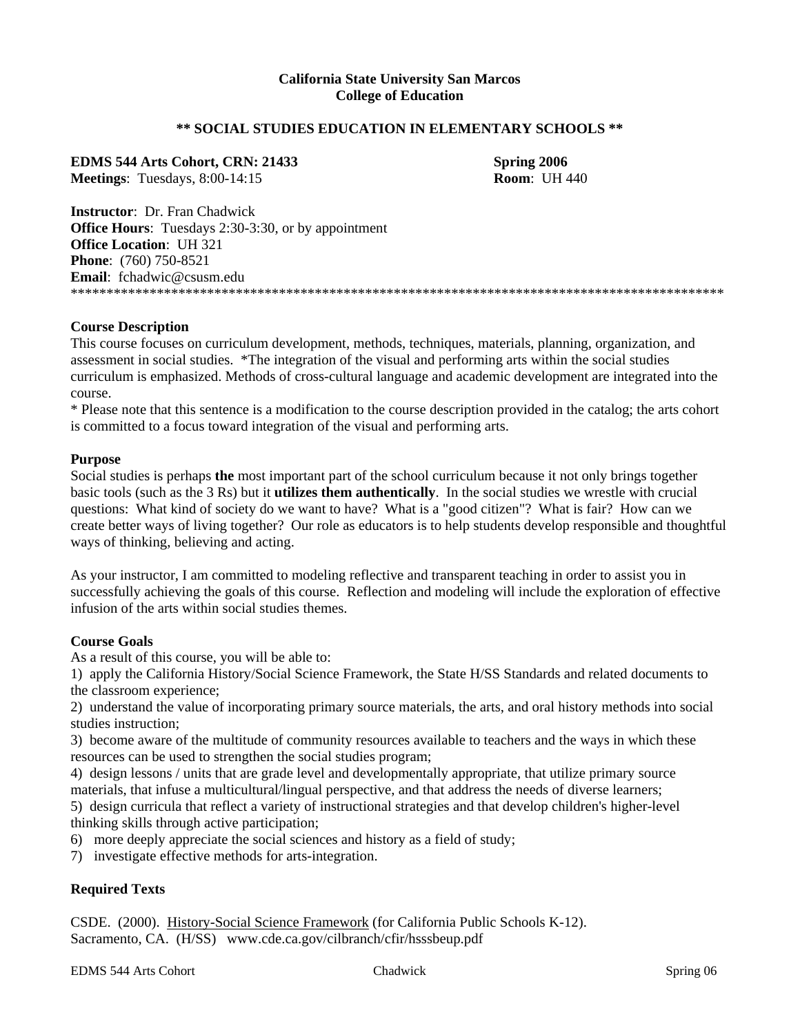#### **California State University San Marcos College of Education**

#### **\*\* SOCIAL STUDIES EDUCATION IN ELEMENTARY SCHOOLS \*\***

**EDMS 544 Arts Cohort, CRN: 21433 Spring 2006 Meetings**: Tuesdays, 8:00-14:15 **Room**: UH 440

**Instructor**: Dr. Fran Chadwick **Office Hours:** Tuesdays 2:30-3:30, or by appointment **Office Location**: UH 321 **Phone**: (760) 750-8521 **Email**: fchadwic@csusm.edu \*\*\*\*\*\*\*\*\*\*\*\*\*\*\*\*\*\*\*\*\*\*\*\*\*\*\*\*\*\*\*\*\*\*\*\*\*\*\*\*\*\*\*\*\*\*\*\*\*\*\*\*\*\*\*\*\*\*\*\*\*\*\*\*\*\*\*\*\*\*\*\*\*\*\*\*\*\*\*\*\*\*\*\*\*\*\*\*\*\*\*

#### **Course Description**

This course focuses on curriculum development, methods, techniques, materials, planning, organization, and assessment in social studies. \*The integration of the visual and performing arts within the social studies curriculum is emphasized. Methods of cross-cultural language and academic development are integrated into the course.

\* Please note that this sentence is a modification to the course description provided in the catalog; the arts cohort is committed to a focus toward integration of the visual and performing arts.

#### **Purpose**

Social studies is perhaps **the** most important part of the school curriculum because it not only brings together basic tools (such as the 3 Rs) but it **utilizes them authentically**. In the social studies we wrestle with crucial questions: What kind of society do we want to have? What is a "good citizen"? What is fair? How can we create better ways of living together? Our role as educators is to help students develop responsible and thoughtful ways of thinking, believing and acting.

As your instructor, I am committed to modeling reflective and transparent teaching in order to assist you in successfully achieving the goals of this course. Reflection and modeling will include the exploration of effective infusion of the arts within social studies themes.

#### **Course Goals**

As a result of this course, you will be able to:

1) apply the California History/Social Science Framework, the State H/SS Standards and related documents to the classroom experience;

2) understand the value of incorporating primary source materials, the arts, and oral history methods into social studies instruction;

3) become aware of the multitude of community resources available to teachers and the ways in which these resources can be used to strengthen the social studies program;

4) design lessons / units that are grade level and developmentally appropriate, that utilize primary source materials, that infuse a multicultural/lingual perspective, and that address the needs of diverse learners;

5) design curricula that reflect a variety of instructional strategies and that develop children's higher-level thinking skills through active participation;

6) more deeply appreciate the social sciences and history as a field of study;

7) investigate effective methods for arts-integration.

#### **Required Texts**

CSDE. (2000). History-Social Science Framework (for California Public Schools K-12). Sacramento, CA. (H/SS) www.cde.ca.gov/cilbranch/cfir/hsssbeup.pdf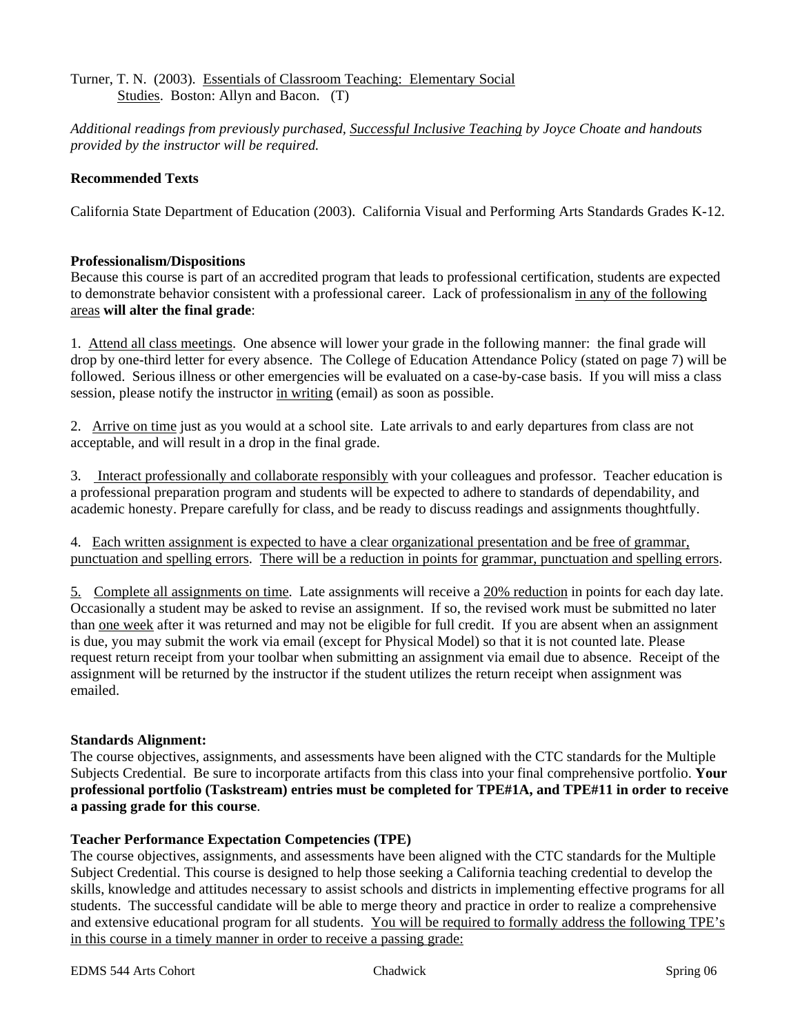### Turner, T. N. (2003). Essentials of Classroom Teaching: Elementary Social Studies. Boston: Allyn and Bacon. (T)

*Additional readings from previously purchased, Successful Inclusive Teaching by Joyce Choate and handouts provided by the instructor will be required.* 

### **Recommended Texts**

California State Department of Education (2003). California Visual and Performing Arts Standards Grades K-12.

### **Professionalism/Dispositions**

Because this course is part of an accredited program that leads to professional certification, students are expected to demonstrate behavior consistent with a professional career. Lack of professionalism in any of the following areas **will alter the final grade**:

1. Attend all class meetings. One absence will lower your grade in the following manner: the final grade will drop by one-third letter for every absence. The College of Education Attendance Policy (stated on page 7) will be followed. Serious illness or other emergencies will be evaluated on a case-by-case basis. If you will miss a class session*,* please notify the instructor in writing (email) as soon as possible.

2. Arrive on time just as you would at a school site. Late arrivals to and early departures from class are not acceptable, and will result in a drop in the final grade.

3. Interact professionally and collaborate responsibly with your colleagues and professor. Teacher education is a professional preparation program and students will be expected to adhere to standards of dependability, and academic honesty. Prepare carefully for class, and be ready to discuss readings and assignments thoughtfully.

4. Each written assignment is expected to have a clear organizational presentation and be free of grammar, punctuation and spelling errors. There will be a reduction in points for grammar, punctuation and spelling errors.

5. Complete all assignments on time. Late assignments will receive a 20% reduction in points for each day late. Occasionally a student may be asked to revise an assignment. If so, the revised work must be submitted no later than one week after it was returned and may not be eligible for full credit. If you are absent when an assignment is due, you may submit the work via email (except for Physical Model) so that it is not counted late. Please request return receipt from your toolbar when submitting an assignment via email due to absence. Receipt of the assignment will be returned by the instructor if the student utilizes the return receipt when assignment was emailed.

#### **Standards Alignment:**

The course objectives, assignments, and assessments have been aligned with the CTC standards for the Multiple Subjects Credential. Be sure to incorporate artifacts from this class into your final comprehensive portfolio. **Your professional portfolio (Taskstream) entries must be completed for TPE#1A, and TPE#11 in order to receive a passing grade for this course**.

#### **Teacher Performance Expectation Competencies (TPE)**

The course objectives, assignments, and assessments have been aligned with the CTC standards for the Multiple Subject Credential. This course is designed to help those seeking a California teaching credential to develop the skills, knowledge and attitudes necessary to assist schools and districts in implementing effective programs for all students. The successful candidate will be able to merge theory and practice in order to realize a comprehensive and extensive educational program for all students. You will be required to formally address the following TPE's in this course in a timely manner in order to receive a passing grade: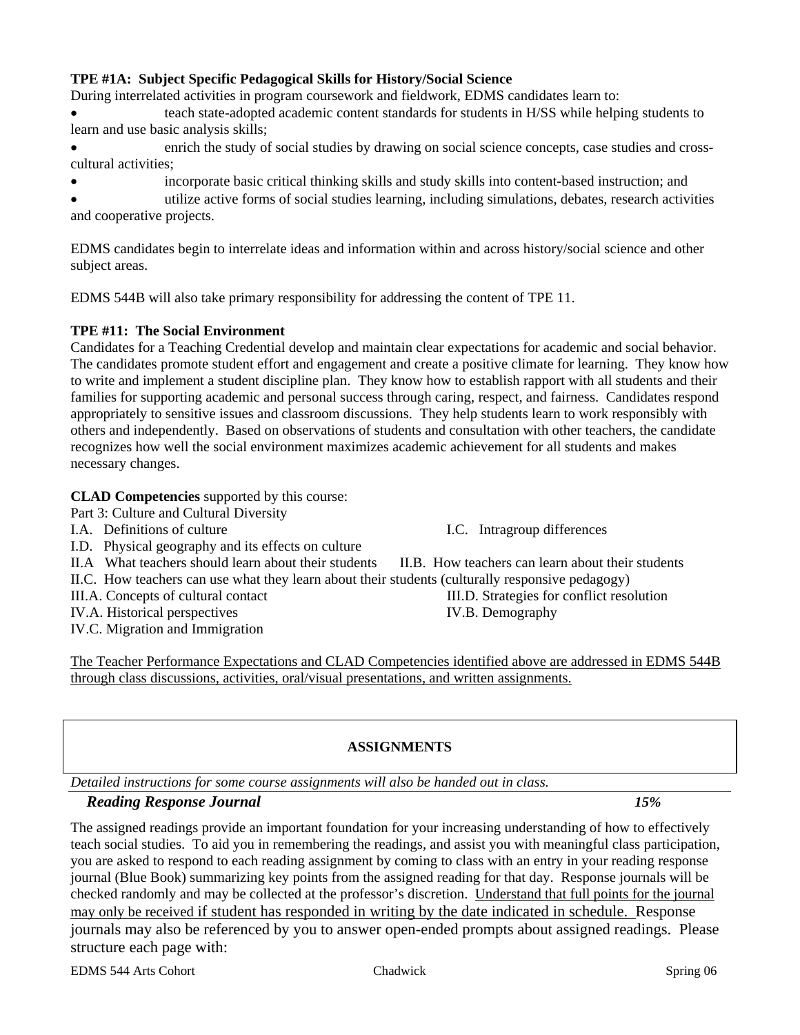### **TPE #1A: Subject Specific Pedagogical Skills for History/Social Science**

During interrelated activities in program coursework and fieldwork, EDMS candidates learn to:

• teach state-adopted academic content standards for students in H/SS while helping students to learn and use basic analysis skills;

- enrich the study of social studies by drawing on social science concepts, case studies and crosscultural activities;
- incorporate basic critical thinking skills and study skills into content-based instruction; and

• utilize active forms of social studies learning, including simulations, debates, research activities and cooperative projects.

EDMS candidates begin to interrelate ideas and information within and across history/social science and other subject areas.

EDMS 544B will also take primary responsibility for addressing the content of TPE 11.

#### **TPE #11: The Social Environment**

Candidates for a Teaching Credential develop and maintain clear expectations for academic and social behavior. The candidates promote student effort and engagement and create a positive climate for learning. They know how to write and implement a student discipline plan. They know how to establish rapport with all students and their families for supporting academic and personal success through caring, respect, and fairness. Candidates respond appropriately to sensitive issues and classroom discussions. They help students learn to work responsibly with others and independently. Based on observations of students and consultation with other teachers, the candidate recognizes how well the social environment maximizes academic achievement for all students and makes necessary changes.

# **CLAD Competencies** supported by this course:

- Part 3: Culture and Cultural Diversity
- I.A. Definitions of culture I.C. Intragroup differences
- I.D. Physical geography and its effects on culture

II.A What teachers should learn about their students II.B. How teachers can learn about their students

- 
- 

IV.C. Migration and Immigration

II.C. How teachers can use what they learn about their students (culturally responsive pedagogy) III.A. Concepts of cultural contact III.D. Strategies for conflict resolution

IV.A. Historical perspectives IV.B. Demography

The Teacher Performance Expectations and CLAD Competencies identified above are addressed in EDMS 544B through class discussions, activities, oral/visual presentations, and written assignments.

# **ASSIGNMENTS**

*Detailed instructions for some course assignments will also be handed out in class.* 

# *Reading Response Journal 15%*

The assigned readings provide an important foundation for your increasing understanding of how to effectively teach social studies. To aid you in remembering the readings, and assist you with meaningful class participation, you are asked to respond to each reading assignment by coming to class with an entry in your reading response journal (Blue Book) summarizing key points from the assigned reading for that day. Response journals will be checked randomly and may be collected at the professor's discretion. Understand that full points for the journal may only be received if student has responded in writing by the date indicated in schedule. Response journals may also be referenced by you to answer open-ended prompts about assigned readings. Please structure each page with: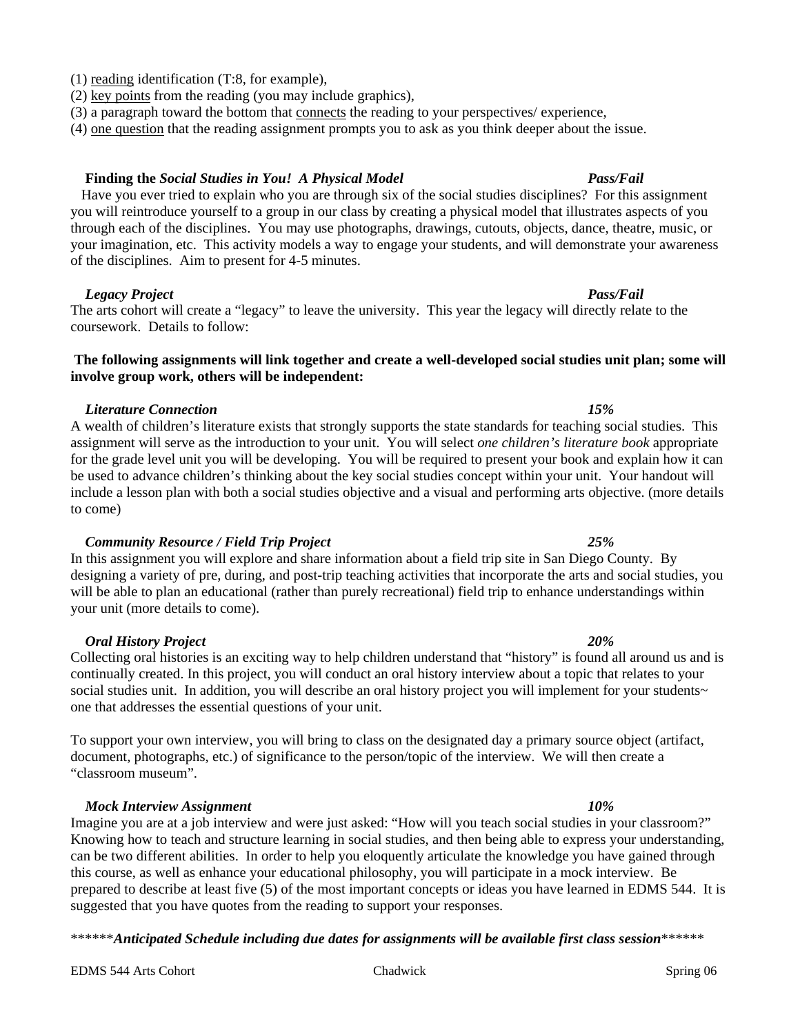#### (1) reading identification (T:8, for example),

- (2) key points from the reading (you may include graphics),
- (3) a paragraph toward the bottom that connects the reading to your perspectives/ experience,
- (4) one question that the reading assignment prompts you to ask as you think deeper about the issue.

### **Finding the** *Social Studies in You! A Physical Model Pass/Fail*

 Have you ever tried to explain who you are through six of the social studies disciplines? For this assignment you will reintroduce yourself to a group in our class by creating a physical model that illustrates aspects of you through each of the disciplines. You may use photographs, drawings, cutouts, objects, dance, theatre, music, or your imagination, etc. This activity models a way to engage your students, and will demonstrate your awareness of the disciplines. Aim to present for 4-5 minutes.

# *Legacy Project* **Pass/Fail <b>Pass/Fail**  Pass/Fail **Pass/Fail**  Pass/Fail **Pass/Fail**

The arts cohort will create a "legacy" to leave the university. This year the legacy will directly relate to the coursework. Details to follow:

# **The following assignments will link together and create a well-developed social studies unit plan; some will involve group work, others will be independent:**

# *Literature Connection 15%*

A wealth of children's literature exists that strongly supports the state standards for teaching social studies. This assignment will serve as the introduction to your unit. You will select *one children's literature book* appropriate for the grade level unit you will be developing. You will be required to present your book and explain how it can be used to advance children's thinking about the key social studies concept within your unit. Your handout will include a lesson plan with both a social studies objective and a visual and performing arts objective. (more details to come)

# *Community Resource / Field Trip Project 25%*

In this assignment you will explore and share information about a field trip site in San Diego County. By designing a variety of pre, during, and post-trip teaching activities that incorporate the arts and social studies, you will be able to plan an educational (rather than purely recreational) field trip to enhance understandings within your unit (more details to come).

### *Oral History Project 20%*

Collecting oral histories is an exciting way to help children understand that "history" is found all around us and is continually created. In this project, you will conduct an oral history interview about a topic that relates to your social studies unit. In addition, you will describe an oral history project you will implement for your students~ one that addresses the essential questions of your unit.

To support your own interview, you will bring to class on the designated day a primary source object (artifact, document, photographs, etc.) of significance to the person/topic of the interview. We will then create a "classroom museum".

### *Mock Interview Assignment 10%*

Imagine you are at a job interview and were just asked: "How will you teach social studies in your classroom?" Knowing how to teach and structure learning in social studies, and then being able to express your understanding, can be two different abilities. In order to help you eloquently articulate the knowledge you have gained through this course, as well as enhance your educational philosophy, you will participate in a mock interview. Be prepared to describe at least five (5) of the most important concepts or ideas you have learned in EDMS 544. It is suggested that you have quotes from the reading to support your responses.

\*\*\*\*\*\**Anticipated Schedule including due dates for assignments will be available first class session*\*\*\*\*\*\*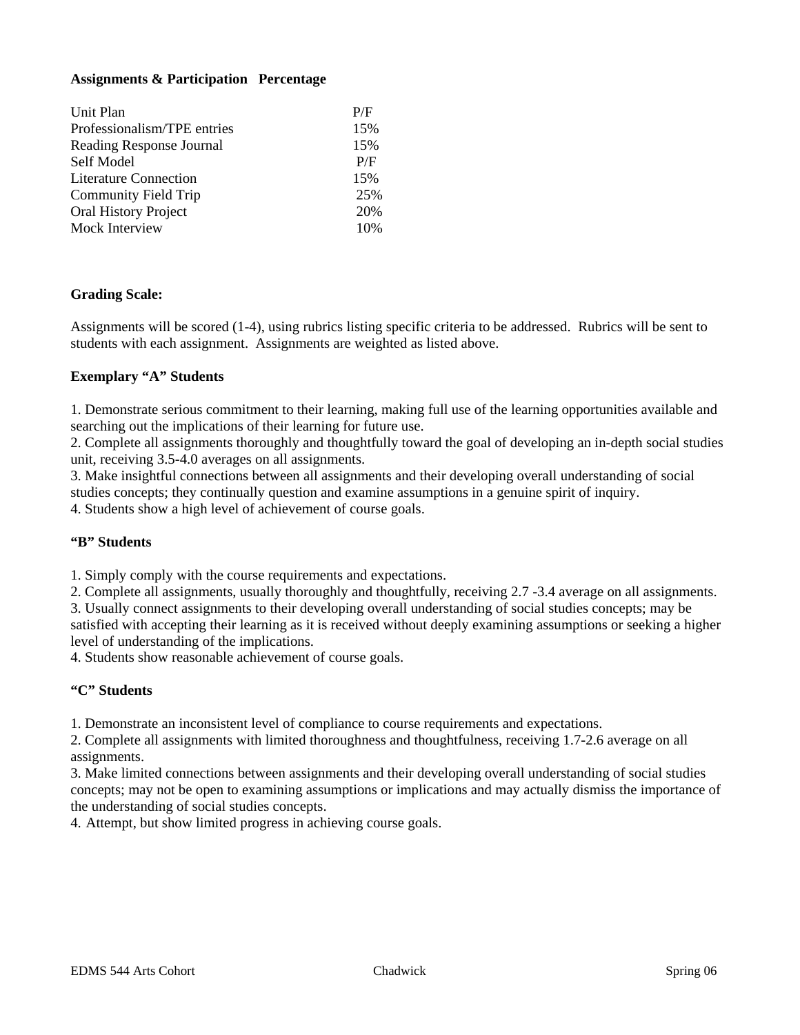# **Assignments & Participation Percentage**

| Unit Plan                    | P/F |
|------------------------------|-----|
| Professionalism/TPE entries  | 15% |
| Reading Response Journal     | 15% |
| Self Model                   | P/F |
| <b>Literature Connection</b> | 15% |
| <b>Community Field Trip</b>  | 25% |
| <b>Oral History Project</b>  | 20% |
| Mock Interview               | 10% |

# **Grading Scale:**

Assignments will be scored (1-4), using rubrics listing specific criteria to be addressed. Rubrics will be sent to students with each assignment. Assignments are weighted as listed above.

#### **Exemplary "A" Students**

1. Demonstrate serious commitment to their learning, making full use of the learning opportunities available and searching out the implications of their learning for future use.

2. Complete all assignments thoroughly and thoughtfully toward the goal of developing an in-depth social studies unit, receiving 3.5-4.0 averages on all assignments.

3. Make insightful connections between all assignments and their developing overall understanding of social studies concepts; they continually question and examine assumptions in a genuine spirit of inquiry.

4. Students show a high level of achievement of course goals.

#### **"B" Students**

1. Simply comply with the course requirements and expectations.

2. Complete all assignments, usually thoroughly and thoughtfully, receiving 2.7 -3.4 average on all assignments.

3. Usually connect assignments to their developing overall understanding of social studies concepts; may be satisfied with accepting their learning as it is received without deeply examining assumptions or seeking a higher level of understanding of the implications.

4. Students show reasonable achievement of course goals.

#### **"C" Students**

1. Demonstrate an inconsistent level of compliance to course requirements and expectations.

2. Complete all assignments with limited thoroughness and thoughtfulness, receiving 1.7-2.6 average on all assignments.

3. Make limited connections between assignments and their developing overall understanding of social studies concepts; may not be open to examining assumptions or implications and may actually dismiss the importance of the understanding of social studies concepts.

4. Attempt, but show limited progress in achieving course goals.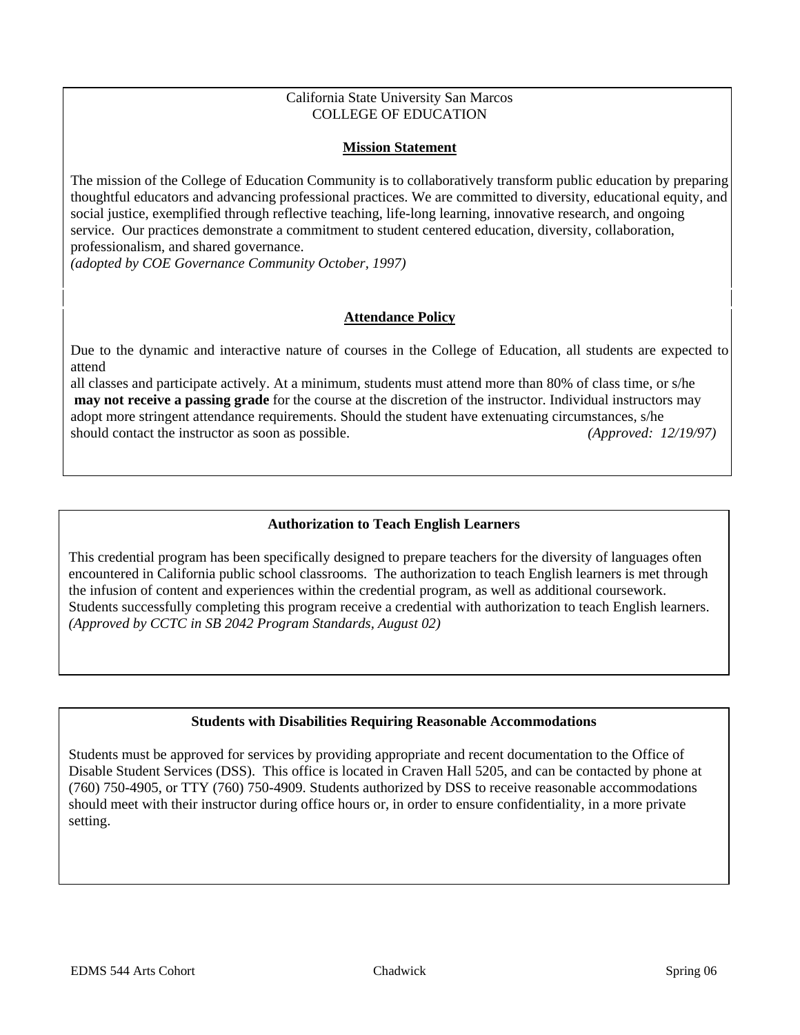### California State University San Marcos COLLEGE OF EDUCATION

# **Mission Statement**

The mission of the College of Education Community is to collaboratively transform public education by preparing thoughtful educators and advancing professional practices. We are committed to diversity, educational equity, and social justice, exemplified through reflective teaching, life-long learning, innovative research, and ongoing service. Our practices demonstrate a commitment to student centered education, diversity, collaboration, professionalism, and shared governance.

*(adopted by COE Governance Community October, 1997)* 

# **Attendance Policy**

Due to the dynamic and interactive nature of courses in the College of Education, all students are expected to attend

all classes and participate actively. At a minimum, students must attend more than 80% of class time, or s/he **may not receive a passing grade** for the course at the discretion of the instructor. Individual instructors may adopt more stringent attendance requirements. Should the student have extenuating circumstances, s/he should contact the instructor as soon as possible. *(Approved: 12/19/97)*

# **Authorization to Teach English Learners**

This credential program has been specifically designed to prepare teachers for the diversity of languages often encountered in California public school classrooms. The authorization to teach English learners is met through the infusion of content and experiences within the credential program, as well as additional coursework. Students successfully completing this program receive a credential with authorization to teach English learners. *(Approved by CCTC in SB 2042 Program Standards, August 02)*

# **Students with Disabilities Requiring Reasonable Accommodations**

Students must be approved for services by providing appropriate and recent documentation to the Office of Disable Student Services (DSS). This office is located in Craven Hall 5205, and can be contacted by phone at (760) 750-4905, or TTY (760) 750-4909. Students authorized by DSS to receive reasonable accommodations should meet with their instructor during office hours or, in order to ensure confidentiality, in a more private setting.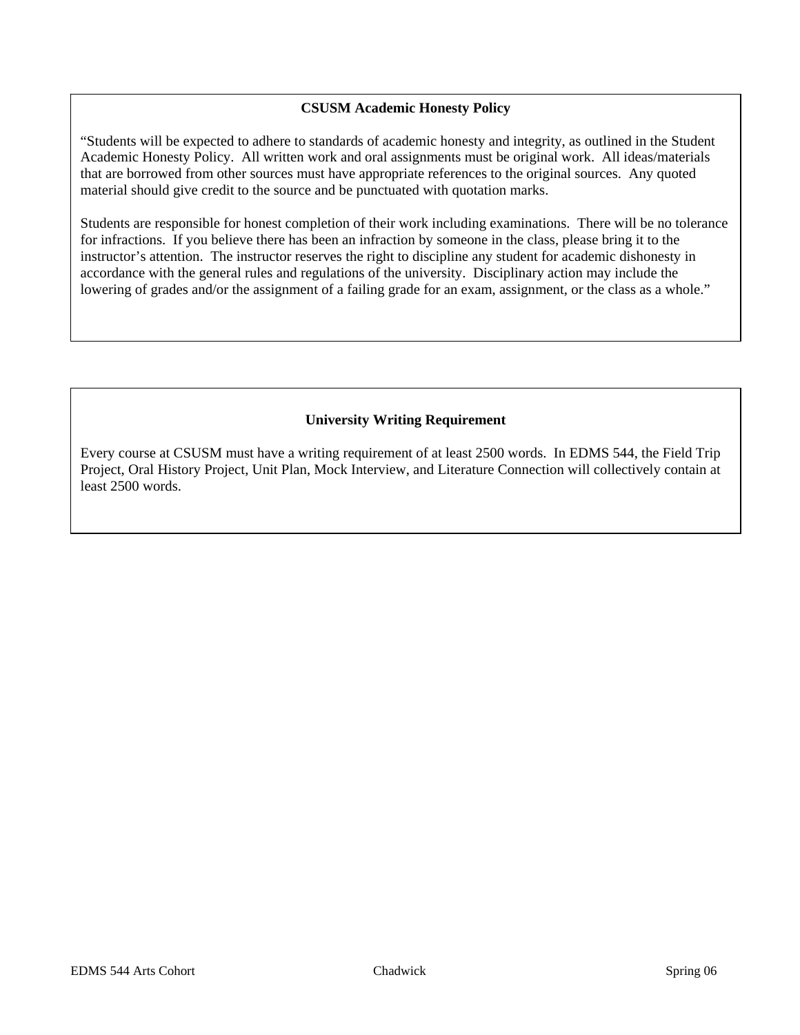# **CSUSM Academic Honesty Policy**

"Students will be expected to adhere to standards of academic honesty and integrity, as outlined in the Student Academic Honesty Policy. All written work and oral assignments must be original work. All ideas/materials that are borrowed from other sources must have appropriate references to the original sources. Any quoted material should give credit to the source and be punctuated with quotation marks.

Students are responsible for honest completion of their work including examinations. There will be no tolerance for infractions. If you believe there has been an infraction by someone in the class, please bring it to the instructor's attention. The instructor reserves the right to discipline any student for academic dishonesty in accordance with the general rules and regulations of the university. Disciplinary action may include the lowering of grades and/or the assignment of a failing grade for an exam, assignment, or the class as a whole."

# **University Writing Requirement**

Every course at CSUSM must have a writing requirement of at least 2500 words. In EDMS 544, the Field Trip Project, Oral History Project, Unit Plan, Mock Interview, and Literature Connection will collectively contain at least 2500 words.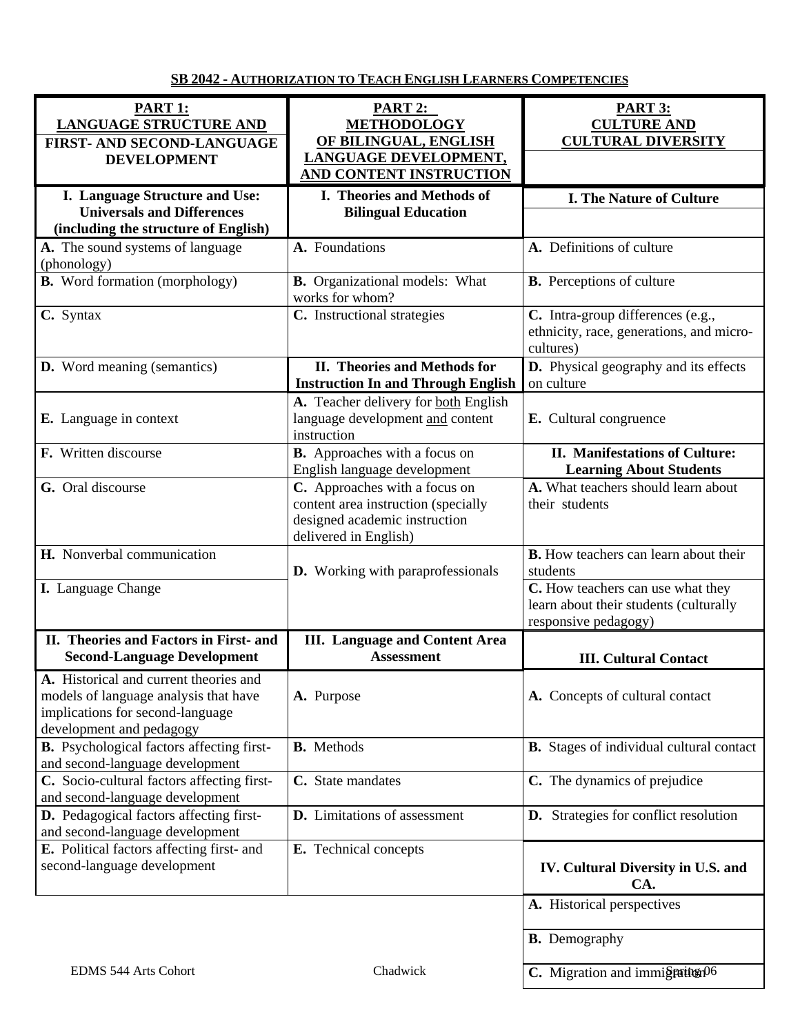**SB 2042 - AUTHORIZATION TO TEACH ENGLISH LEARNERS COMPETENCIES**

| <b>PART 1:</b><br><b>LANGUAGE STRUCTURE AND</b><br>FIRST- AND SECOND-LANGUAGE<br><b>DEVELOPMENT</b>                                             | <b>PART 2:</b><br><b>METHODOLOGY</b><br>OF BILINGUAL, ENGLISH<br>LANGUAGE DEVELOPMENT,<br><b>AND CONTENT INSTRUCTION</b>       | <b>PART 3:</b><br><b>CULTURE AND</b><br><b>CULTURAL DIVERSITY</b>                                   |
|-------------------------------------------------------------------------------------------------------------------------------------------------|--------------------------------------------------------------------------------------------------------------------------------|-----------------------------------------------------------------------------------------------------|
| I. Language Structure and Use:<br><b>Universals and Differences</b><br>(including the structure of English)                                     | I. Theories and Methods of<br><b>Bilingual Education</b>                                                                       | <b>I. The Nature of Culture</b>                                                                     |
| A. The sound systems of language<br>(phonology)                                                                                                 | A. Foundations                                                                                                                 | A. Definitions of culture                                                                           |
| <b>B.</b> Word formation (morphology)                                                                                                           | <b>B.</b> Organizational models: What<br>works for whom?                                                                       | <b>B.</b> Perceptions of culture                                                                    |
| C. Syntax                                                                                                                                       | C. Instructional strategies                                                                                                    | C. Intra-group differences (e.g.,<br>ethnicity, race, generations, and micro-<br>cultures)          |
| <b>D.</b> Word meaning (semantics)                                                                                                              | II. Theories and Methods for<br><b>Instruction In and Through English</b>                                                      | D. Physical geography and its effects<br>on culture                                                 |
| E. Language in context                                                                                                                          | A. Teacher delivery for both English<br>language development and content<br>instruction                                        | E. Cultural congruence                                                                              |
| F. Written discourse                                                                                                                            | <b>B.</b> Approaches with a focus on<br>English language development                                                           | <b>II. Manifestations of Culture:</b><br><b>Learning About Students</b>                             |
| G. Oral discourse                                                                                                                               | C. Approaches with a focus on<br>content area instruction (specially<br>designed academic instruction<br>delivered in English) | A. What teachers should learn about<br>their students                                               |
| H. Nonverbal communication                                                                                                                      | <b>D.</b> Working with paraprofessionals                                                                                       | <b>B.</b> How teachers can learn about their<br>students                                            |
| I. Language Change                                                                                                                              |                                                                                                                                | C. How teachers can use what they<br>learn about their students (culturally<br>responsive pedagogy) |
| II. Theories and Factors in First- and<br><b>Second-Language Development</b>                                                                    | <b>III.</b> Language and Content Area<br><b>Assessment</b>                                                                     | <b>III. Cultural Contact</b>                                                                        |
| A. Historical and current theories and<br>models of language analysis that have<br>implications for second-language<br>development and pedagogy | A. Purpose                                                                                                                     | A. Concepts of cultural contact                                                                     |
| <b>B.</b> Psychological factors affecting first-<br>and second-language development                                                             | <b>B.</b> Methods                                                                                                              | <b>B.</b> Stages of individual cultural contact                                                     |
| C. Socio-cultural factors affecting first-<br>and second-language development                                                                   | C. State mandates                                                                                                              | C. The dynamics of prejudice                                                                        |
| D. Pedagogical factors affecting first-<br>and second-language development                                                                      | <b>D.</b> Limitations of assessment                                                                                            | <b>D.</b> Strategies for conflict resolution                                                        |
| E. Political factors affecting first- and<br>second-language development                                                                        | E. Technical concepts                                                                                                          | IV. Cultural Diversity in U.S. and<br>CA.                                                           |
|                                                                                                                                                 |                                                                                                                                | A. Historical perspectives                                                                          |
|                                                                                                                                                 |                                                                                                                                | <b>B.</b> Demography                                                                                |
| EDMS 544 Arts Cohort                                                                                                                            | Chadwick                                                                                                                       | C. Migration and immigration06                                                                      |